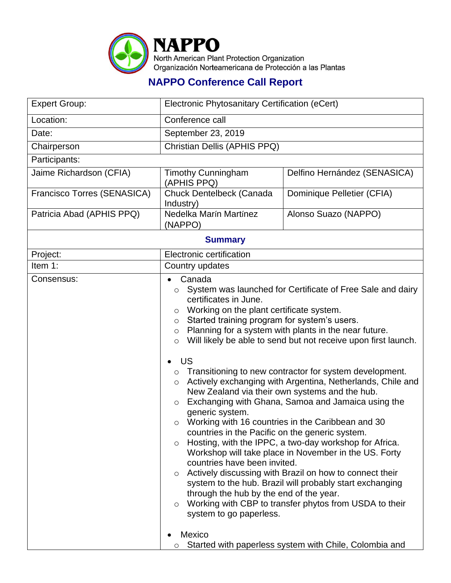

## **NAPPO Conference Call Report**

| <b>Expert Group:</b>        | Electronic Phytosanitary Certification (eCert)                                                                                                                                                                                                                                                                                                                                                                                                                                                                                                                                                                                                                                                                                                                                                                                                                                                                                                                                                                                                                                                                                                                                                                                              |                              |  |  |
|-----------------------------|---------------------------------------------------------------------------------------------------------------------------------------------------------------------------------------------------------------------------------------------------------------------------------------------------------------------------------------------------------------------------------------------------------------------------------------------------------------------------------------------------------------------------------------------------------------------------------------------------------------------------------------------------------------------------------------------------------------------------------------------------------------------------------------------------------------------------------------------------------------------------------------------------------------------------------------------------------------------------------------------------------------------------------------------------------------------------------------------------------------------------------------------------------------------------------------------------------------------------------------------|------------------------------|--|--|
| Location:                   | Conference call                                                                                                                                                                                                                                                                                                                                                                                                                                                                                                                                                                                                                                                                                                                                                                                                                                                                                                                                                                                                                                                                                                                                                                                                                             |                              |  |  |
| Date:                       | September 23, 2019                                                                                                                                                                                                                                                                                                                                                                                                                                                                                                                                                                                                                                                                                                                                                                                                                                                                                                                                                                                                                                                                                                                                                                                                                          |                              |  |  |
| Chairperson                 | Christian Dellis (APHIS PPQ)                                                                                                                                                                                                                                                                                                                                                                                                                                                                                                                                                                                                                                                                                                                                                                                                                                                                                                                                                                                                                                                                                                                                                                                                                |                              |  |  |
| Participants:               |                                                                                                                                                                                                                                                                                                                                                                                                                                                                                                                                                                                                                                                                                                                                                                                                                                                                                                                                                                                                                                                                                                                                                                                                                                             |                              |  |  |
| Jaime Richardson (CFIA)     | <b>Timothy Cunningham</b><br>(APHIS PPQ)                                                                                                                                                                                                                                                                                                                                                                                                                                                                                                                                                                                                                                                                                                                                                                                                                                                                                                                                                                                                                                                                                                                                                                                                    | Delfino Hernández (SENASICA) |  |  |
| Francisco Torres (SENASICA) | Chuck Dentelbeck (Canada<br>Industry)                                                                                                                                                                                                                                                                                                                                                                                                                                                                                                                                                                                                                                                                                                                                                                                                                                                                                                                                                                                                                                                                                                                                                                                                       | Dominique Pelletier (CFIA)   |  |  |
| Patricia Abad (APHIS PPQ)   | Nedelka Marín Martínez<br>(NAPPO)                                                                                                                                                                                                                                                                                                                                                                                                                                                                                                                                                                                                                                                                                                                                                                                                                                                                                                                                                                                                                                                                                                                                                                                                           | Alonso Suazo (NAPPO)         |  |  |
| <b>Summary</b>              |                                                                                                                                                                                                                                                                                                                                                                                                                                                                                                                                                                                                                                                                                                                                                                                                                                                                                                                                                                                                                                                                                                                                                                                                                                             |                              |  |  |
| Project:                    | Electronic certification                                                                                                                                                                                                                                                                                                                                                                                                                                                                                                                                                                                                                                                                                                                                                                                                                                                                                                                                                                                                                                                                                                                                                                                                                    |                              |  |  |
| Item 1:                     | Country updates                                                                                                                                                                                                                                                                                                                                                                                                                                                                                                                                                                                                                                                                                                                                                                                                                                                                                                                                                                                                                                                                                                                                                                                                                             |                              |  |  |
| Consensus:                  | Canada<br>System was launched for Certificate of Free Sale and dairy<br>$\circ$<br>certificates in June.<br>Working on the plant certificate system.<br>$\circ$<br>Started training program for system's users.<br>$\circ$<br>Planning for a system with plants in the near future.<br>$\circ$<br>Will likely be able to send but not receive upon first launch.<br>$\circ$<br><b>US</b><br>Transitioning to new contractor for system development.<br>$\circ$<br>Actively exchanging with Argentina, Netherlands, Chile and<br>$\circ$<br>New Zealand via their own systems and the hub.<br>Exchanging with Ghana, Samoa and Jamaica using the<br>$\circ$<br>generic system.<br>Working with 16 countries in the Caribbean and 30<br>$\circ$<br>countries in the Pacific on the generic system.<br>Hosting, with the IPPC, a two-day workshop for Africa.<br>$\circ$<br>Workshop will take place in November in the US. Forty<br>countries have been invited.<br>Actively discussing with Brazil on how to connect their<br>$\circ$<br>system to the hub. Brazil will probably start exchanging<br>through the hub by the end of the year.<br>Working with CBP to transfer phytos from USDA to their<br>$\circ$<br>system to go paperless. |                              |  |  |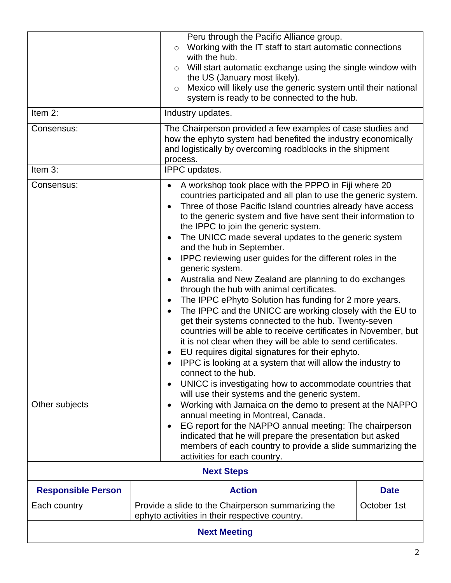| Item 2:<br>Consensus:     | Peru through the Pacific Alliance group.<br>$\circ$<br>with the hub.<br>$\circ$<br>the US (January most likely).<br>$\circ$<br>Industry updates.                                                                                                                                                                                                                                                                                                                                                                                                                                                                                                                                                                                                                                                                                                                                                                                                                                                                                                                                                                                                     | Working with the IT staff to start automatic connections<br>Will start automatic exchange using the single window with<br>Mexico will likely use the generic system until their national<br>system is ready to be connected to the hub.<br>The Chairperson provided a few examples of case studies and |  |
|---------------------------|------------------------------------------------------------------------------------------------------------------------------------------------------------------------------------------------------------------------------------------------------------------------------------------------------------------------------------------------------------------------------------------------------------------------------------------------------------------------------------------------------------------------------------------------------------------------------------------------------------------------------------------------------------------------------------------------------------------------------------------------------------------------------------------------------------------------------------------------------------------------------------------------------------------------------------------------------------------------------------------------------------------------------------------------------------------------------------------------------------------------------------------------------|--------------------------------------------------------------------------------------------------------------------------------------------------------------------------------------------------------------------------------------------------------------------------------------------------------|--|
|                           | process.                                                                                                                                                                                                                                                                                                                                                                                                                                                                                                                                                                                                                                                                                                                                                                                                                                                                                                                                                                                                                                                                                                                                             | how the ephyto system had benefited the industry economically<br>and logistically by overcoming roadblocks in the shipment                                                                                                                                                                             |  |
| Item 3:                   |                                                                                                                                                                                                                                                                                                                                                                                                                                                                                                                                                                                                                                                                                                                                                                                                                                                                                                                                                                                                                                                                                                                                                      | IPPC updates.                                                                                                                                                                                                                                                                                          |  |
| Consensus:                | A workshop took place with the PPPO in Fiji where 20<br>countries participated and all plan to use the generic system.<br>Three of those Pacific Island countries already have access<br>to the generic system and five have sent their information to<br>the IPPC to join the generic system.<br>The UNICC made several updates to the generic system<br>and the hub in September.<br>IPPC reviewing user guides for the different roles in the<br>generic system.<br>Australia and New Zealand are planning to do exchanges<br>through the hub with animal certificates.<br>The IPPC ePhyto Solution has funding for 2 more years.<br>The IPPC and the UNICC are working closely with the EU to<br>get their systems connected to the hub. Twenty-seven<br>countries will be able to receive certificates in November, but<br>it is not clear when they will be able to send certificates.<br>EU requires digital signatures for their ephyto.<br>IPPC is looking at a system that will allow the industry to<br>connect to the hub.<br>UNICC is investigating how to accommodate countries that<br>will use their systems and the generic system. |                                                                                                                                                                                                                                                                                                        |  |
| Other subjects            | $\bullet$<br>annual meeting in Montreal, Canada.<br>activities for each country.                                                                                                                                                                                                                                                                                                                                                                                                                                                                                                                                                                                                                                                                                                                                                                                                                                                                                                                                                                                                                                                                     | Working with Jamaica on the demo to present at the NAPPO<br>EG report for the NAPPO annual meeting: The chairperson<br>indicated that he will prepare the presentation but asked<br>members of each country to provide a slide summarizing the                                                         |  |
| <b>Next Steps</b>         |                                                                                                                                                                                                                                                                                                                                                                                                                                                                                                                                                                                                                                                                                                                                                                                                                                                                                                                                                                                                                                                                                                                                                      |                                                                                                                                                                                                                                                                                                        |  |
| <b>Responsible Person</b> | <b>Action</b>                                                                                                                                                                                                                                                                                                                                                                                                                                                                                                                                                                                                                                                                                                                                                                                                                                                                                                                                                                                                                                                                                                                                        | <b>Date</b>                                                                                                                                                                                                                                                                                            |  |
| Each country              | Provide a slide to the Chairperson summarizing the<br>October 1st<br>ephyto activities in their respective country.                                                                                                                                                                                                                                                                                                                                                                                                                                                                                                                                                                                                                                                                                                                                                                                                                                                                                                                                                                                                                                  |                                                                                                                                                                                                                                                                                                        |  |
| <b>Next Meeting</b>       |                                                                                                                                                                                                                                                                                                                                                                                                                                                                                                                                                                                                                                                                                                                                                                                                                                                                                                                                                                                                                                                                                                                                                      |                                                                                                                                                                                                                                                                                                        |  |